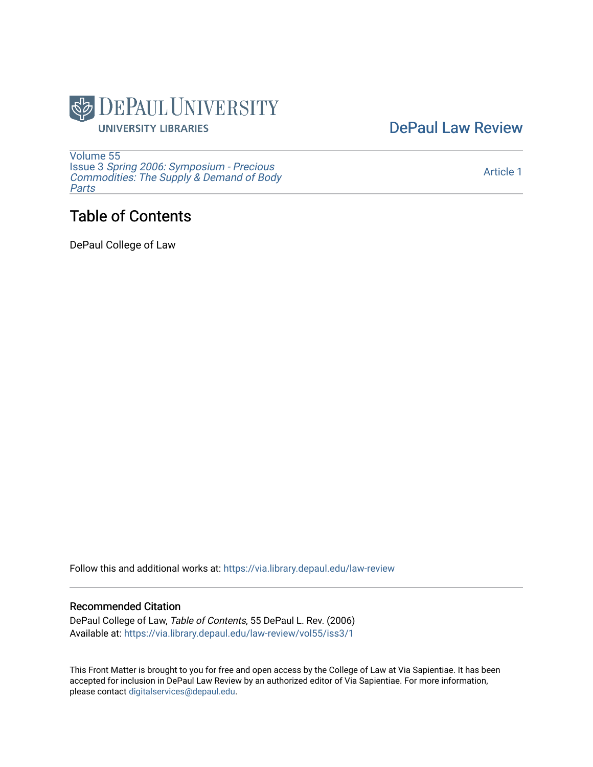

[DePaul Law Review](https://via.library.depaul.edu/law-review) 

[Volume 55](https://via.library.depaul.edu/law-review/vol55) Issue 3 [Spring 2006: Symposium - Precious](https://via.library.depaul.edu/law-review/vol55/iss3) [Commodities: The Supply & Demand of Body](https://via.library.depaul.edu/law-review/vol55/iss3) [Parts](https://via.library.depaul.edu/law-review/vol55/iss3)

## Table of Contents

DePaul College of Law

Follow this and additional works at: [https://via.library.depaul.edu/law-review](https://via.library.depaul.edu/law-review?utm_source=via.library.depaul.edu%2Flaw-review%2Fvol55%2Fiss3%2F1&utm_medium=PDF&utm_campaign=PDFCoverPages) 

#### Recommended Citation

DePaul College of Law, Table of Contents, 55 DePaul L. Rev. (2006) Available at: [https://via.library.depaul.edu/law-review/vol55/iss3/1](https://via.library.depaul.edu/law-review/vol55/iss3/1?utm_source=via.library.depaul.edu%2Flaw-review%2Fvol55%2Fiss3%2F1&utm_medium=PDF&utm_campaign=PDFCoverPages) 

This Front Matter is brought to you for free and open access by the College of Law at Via Sapientiae. It has been accepted for inclusion in DePaul Law Review by an authorized editor of Via Sapientiae. For more information, please contact [digitalservices@depaul.edu.](mailto:digitalservices@depaul.edu)

[Article 1](https://via.library.depaul.edu/law-review/vol55/iss3/1)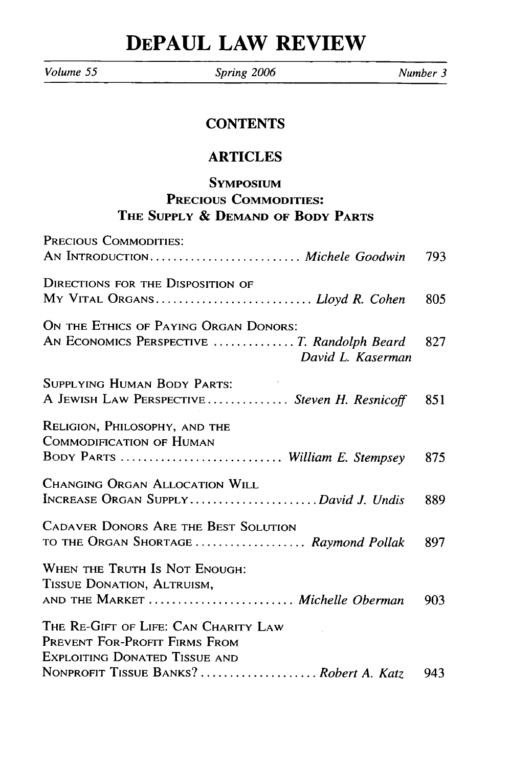# **DEPAUL LAW REVIEW**

*Volume 55 Spring 2006 Number 3*

#### **CONTENTS**

### ARTICLES

### **SYMPOsIum PRECIOUS COMMODITIES: THE SUPPLY & DEMAND OF BODY PARTS**

| PRECIOUS COMMODITIES:                                                                                         |     |
|---------------------------------------------------------------------------------------------------------------|-----|
| AN INTRODUCTION Michele Goodwin                                                                               | 793 |
| <b>DIRECTIONS FOR THE DISPOSITION OF</b><br>MY VITAL ORGANS Lloyd R. Cohen                                    | 805 |
| ON THE ETHICS OF PAYING ORGAN DONORS:<br>AN ECONOMICS PERSPECTIVE  T. Randolph Beard<br>David L. Kaserman     | 827 |
| <b>SUPPLYING HUMAN BODY PARTS:</b><br>A JEWISH LAW PERSPECTIVE  Steven H. Resnicoff                           | 851 |
| RELIGION, PHILOSOPHY, AND THE<br>COMMODIFICATION OF HUMAN<br>BODY PARTS  William E. Stempsey                  | 875 |
| <b>CHANGING ORGAN ALLOCATION WILL</b><br>INCREASE ORGAN SUPPLYDavid J. Undis                                  | 889 |
| <b>CADAVER DONORS ARE THE BEST SOLUTION</b><br>TO THE ORGAN SHORTAGE  Raymond Pollak                          | 897 |
| WHEN THE TRUTH IS NOT ENOUGH:<br>TISSUE DONATION, ALTRUISM,<br>AND THE MARKET  Michelle Oberman               | 903 |
| THE RE-GIFT OF LIFE: CAN CHARITY LAW<br>PREVENT FOR-PROFIT FIRMS FROM<br><b>EXPLOITING DONATED TISSUE AND</b> |     |
| NONPROFIT TISSUE BANKS?  Robert A. Katz                                                                       | 943 |